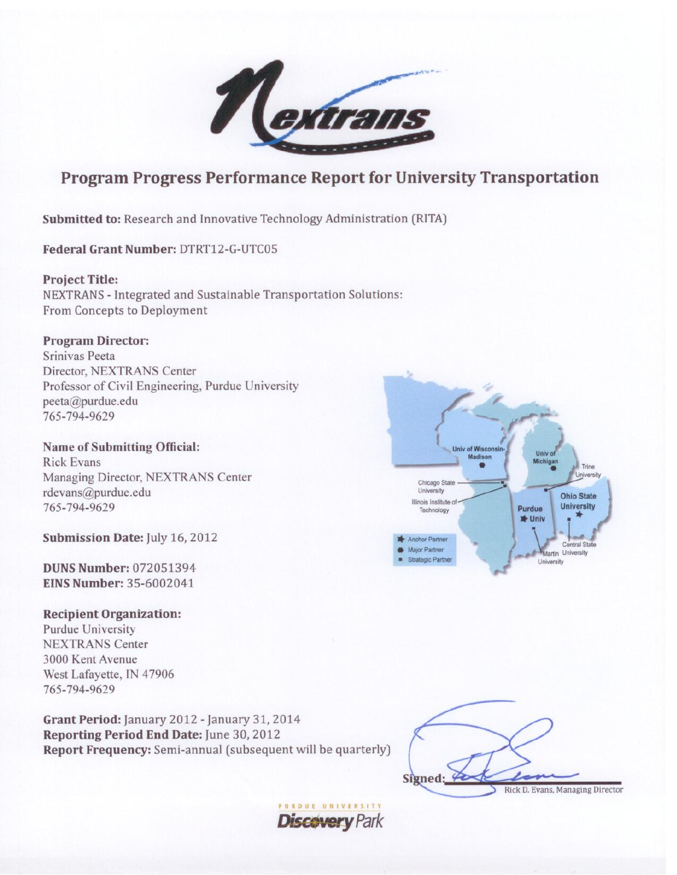

# **Program Progress Performance Report for University Transportation**

**Discovery Park** 

Submitted to: Research and Innovative Technology Administration (RITA)

Federal Grant Number: DTRT12-G-UTC05

**Project Title:** NEXTRANS - Integrated and Sustainable Transportation Solutions: From Concepts to Deployment

**Program Director:** Srinivas Peeta Director, NEXTRANS Center Professor of Civil Engineering, Purdue University peeta@purdue.edu 765-794-9629

**Name of Submitting Official: Rick Evans** Managing Director, NEXTRANS Center rdevans@purdue.edu 765-794-9629

Submission Date: July 16, 2012

**DUNS Number: 072051394 EINS Number: 35-6002041** 

**Recipient Organization:** 

**Purdue University NEXTRANS Center** 3000 Kent Avenue West Lafayette, IN 47906 765-794-9629

Grant Period: January 2012 - January 31, 2014 Reporting Period End Date: June 30, 2012 Report Frequency: Semi-annual (subsequent will be quarterly)



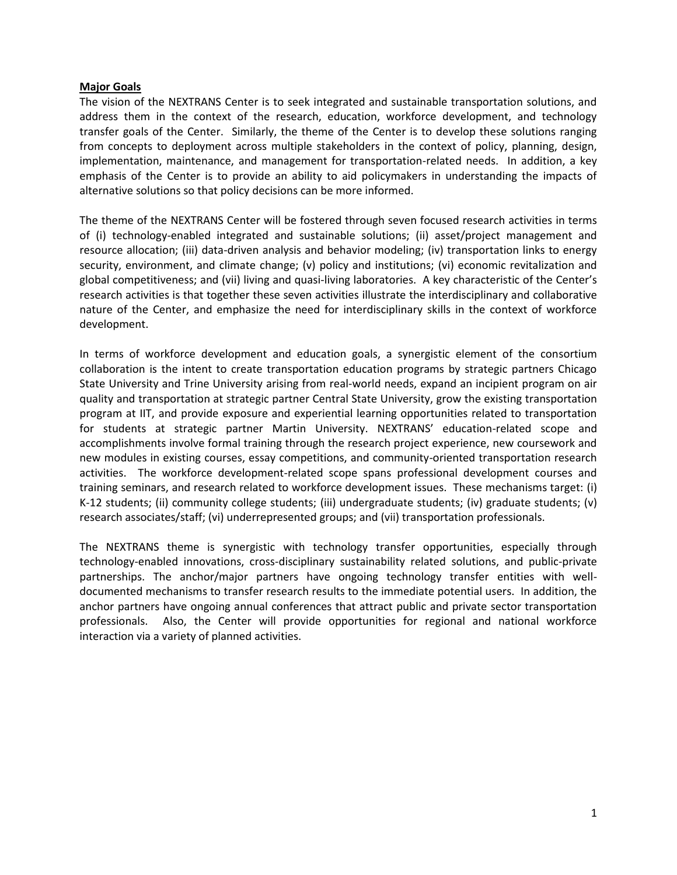#### **Major Goals**

The vision of the NEXTRANS Center is to seek integrated and sustainable transportation solutions, and address them in the context of the research, education, workforce development, and technology transfer goals of the Center. Similarly, the theme of the Center is to develop these solutions ranging from concepts to deployment across multiple stakeholders in the context of policy, planning, design, implementation, maintenance, and management for transportation-related needs. In addition, a key emphasis of the Center is to provide an ability to aid policymakers in understanding the impacts of alternative solutions so that policy decisions can be more informed.

The theme of the NEXTRANS Center will be fostered through seven focused research activities in terms of (i) technology-enabled integrated and sustainable solutions; (ii) asset/project management and resource allocation; (iii) data-driven analysis and behavior modeling; (iv) transportation links to energy security, environment, and climate change; (v) policy and institutions; (vi) economic revitalization and global competitiveness; and (vii) living and quasi-living laboratories. A key characteristic of the Center's research activities is that together these seven activities illustrate the interdisciplinary and collaborative nature of the Center, and emphasize the need for interdisciplinary skills in the context of workforce development.

In terms of workforce development and education goals, a synergistic element of the consortium collaboration is the intent to create transportation education programs by strategic partners Chicago State University and Trine University arising from real-world needs, expand an incipient program on air quality and transportation at strategic partner Central State University, grow the existing transportation program at IIT, and provide exposure and experiential learning opportunities related to transportation for students at strategic partner Martin University. NEXTRANS' education-related scope and accomplishments involve formal training through the research project experience, new coursework and new modules in existing courses, essay competitions, and community-oriented transportation research activities. The workforce development-related scope spans professional development courses and training seminars, and research related to workforce development issues. These mechanisms target: (i) K-12 students; (ii) community college students; (iii) undergraduate students; (iv) graduate students; (v) research associates/staff; (vi) underrepresented groups; and (vii) transportation professionals.

The NEXTRANS theme is synergistic with technology transfer opportunities, especially through technology-enabled innovations, cross-disciplinary sustainability related solutions, and public-private partnerships. The anchor/major partners have ongoing technology transfer entities with welldocumented mechanisms to transfer research results to the immediate potential users. In addition, the anchor partners have ongoing annual conferences that attract public and private sector transportation professionals. Also, the Center will provide opportunities for regional and national workforce interaction via a variety of planned activities.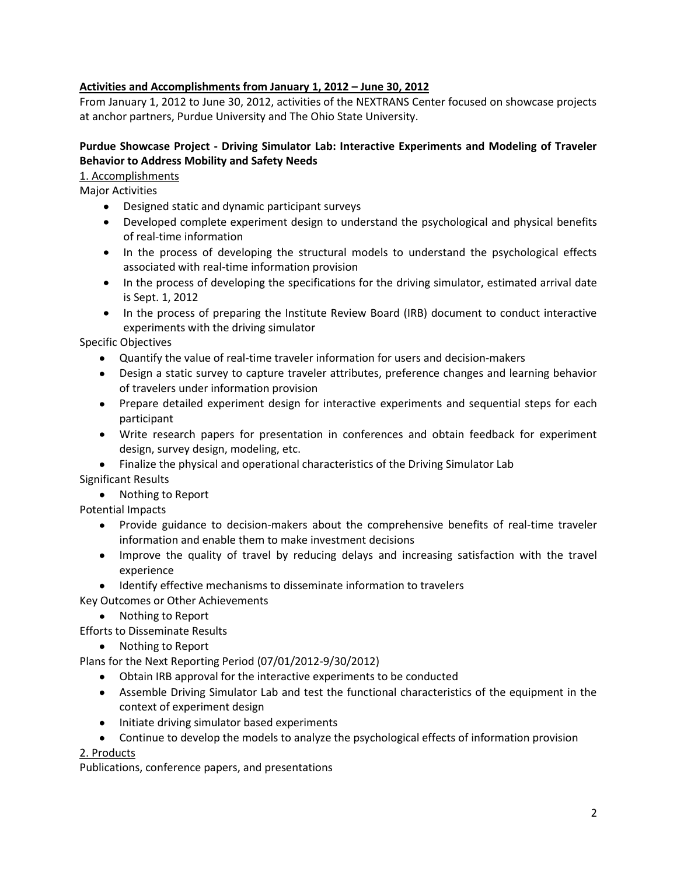## **Activities and Accomplishments from January 1, 2012 – June 30, 2012**

From January 1, 2012 to June 30, 2012, activities of the NEXTRANS Center focused on showcase projects at anchor partners, Purdue University and The Ohio State University.

## **Purdue Showcase Project - Driving Simulator Lab: Interactive Experiments and Modeling of Traveler Behavior to Address Mobility and Safety Needs**

#### 1. Accomplishments

Major Activities

- Designed static and dynamic participant surveys
- Developed complete experiment design to understand the psychological and physical benefits of real-time information
- In the process of developing the structural models to understand the psychological effects associated with real-time information provision
- In the process of developing the specifications for the driving simulator, estimated arrival date is Sept. 1, 2012
- In the process of preparing the Institute Review Board (IRB) document to conduct interactive experiments with the driving simulator

Specific Objectives

- Quantify the value of real-time traveler information for users and decision-makers
- Design a static survey to capture traveler attributes, preference changes and learning behavior of travelers under information provision
- Prepare detailed experiment design for interactive experiments and sequential steps for each participant
- Write research papers for presentation in conferences and obtain feedback for experiment design, survey design, modeling, etc.
- Finalize the physical and operational characteristics of the Driving Simulator Lab Significant Results

• Nothing to Report

Potential Impacts

- Provide guidance to decision-makers about the comprehensive benefits of real-time traveler information and enable them to make investment decisions
- Improve the quality of travel by reducing delays and increasing satisfaction with the travel experience
- Identify effective mechanisms to disseminate information to travelers

Key Outcomes or Other Achievements

• Nothing to Report

Efforts to Disseminate Results

• Nothing to Report

Plans for the Next Reporting Period (07/01/2012-9/30/2012)

- Obtain IRB approval for the interactive experiments to be conducted
- Assemble Driving Simulator Lab and test the functional characteristics of the equipment in the context of experiment design
- Initiate driving simulator based experiments
- Continue to develop the models to analyze the psychological effects of information provision

#### 2. Products

Publications, conference papers, and presentations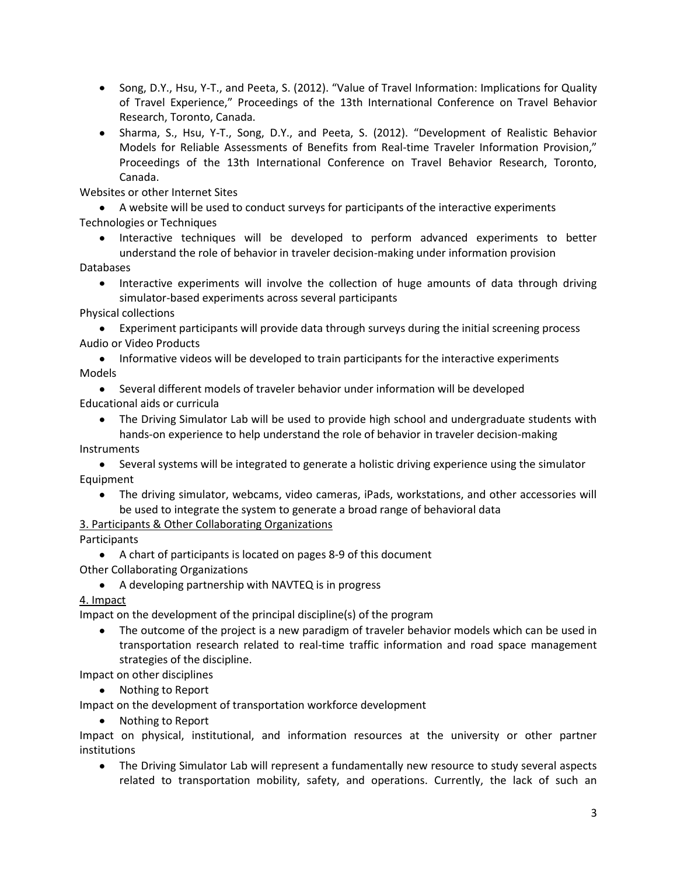- Song, D.Y., Hsu, Y-T., and Peeta, S. (2012). "Value of Travel Information: Implications for Quality of Travel Experience," Proceedings of the 13th International Conference on Travel Behavior Research, Toronto, Canada.
- Sharma, S., Hsu, Y-T., Song, D.Y., and Peeta, S. (2012). "Development of Realistic Behavior Models for Reliable Assessments of Benefits from Real-time Traveler Information Provision," Proceedings of the 13th International Conference on Travel Behavior Research, Toronto, Canada.

Websites or other Internet Sites

A website will be used to conduct surveys for participants of the interactive experiments Technologies or Techniques

Interactive techniques will be developed to perform advanced experiments to better understand the role of behavior in traveler decision-making under information provision

Databases

• Interactive experiments will involve the collection of huge amounts of data through driving simulator-based experiments across several participants

Physical collections

Experiment participants will provide data through surveys during the initial screening process Audio or Video Products

• Informative videos will be developed to train participants for the interactive experiments Models

Several different models of traveler behavior under information will be developed Educational aids or curricula

The Driving Simulator Lab will be used to provide high school and undergraduate students with hands-on experience to help understand the role of behavior in traveler decision-making

Instruments

Several systems will be integrated to generate a holistic driving experience using the simulator Equipment

The driving simulator, webcams, video cameras, iPads, workstations, and other accessories will be used to integrate the system to generate a broad range of behavioral data

3. Participants & Other Collaborating Organizations

Participants

A chart of participants is located on pages 8-9 of this document Other Collaborating Organizations

A developing partnership with NAVTEQ is in progress

4. Impact

Impact on the development of the principal discipline(s) of the program

• The outcome of the project is a new paradigm of traveler behavior models which can be used in transportation research related to real-time traffic information and road space management strategies of the discipline.

Impact on other disciplines

• Nothing to Report

Impact on the development of transportation workforce development

• Nothing to Report

Impact on physical, institutional, and information resources at the university or other partner institutions

 $\bullet$ The Driving Simulator Lab will represent a fundamentally new resource to study several aspects related to transportation mobility, safety, and operations. Currently, the lack of such an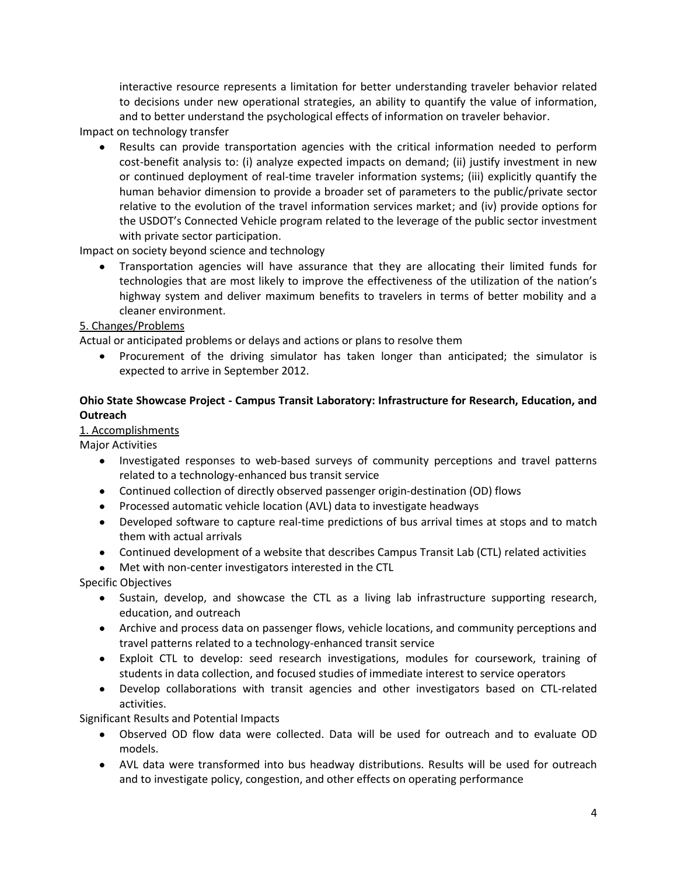interactive resource represents a limitation for better understanding traveler behavior related to decisions under new operational strategies, an ability to quantify the value of information, and to better understand the psychological effects of information on traveler behavior.

Impact on technology transfer

Results can provide transportation agencies with the critical information needed to perform cost-benefit analysis to: (i) analyze expected impacts on demand; (ii) justify investment in new or continued deployment of real-time traveler information systems; (iii) explicitly quantify the human behavior dimension to provide a broader set of parameters to the public/private sector relative to the evolution of the travel information services market; and (iv) provide options for the USDOT's Connected Vehicle program related to the leverage of the public sector investment with private sector participation.

Impact on society beyond science and technology

Transportation agencies will have assurance that they are allocating their limited funds for technologies that are most likely to improve the effectiveness of the utilization of the nation's highway system and deliver maximum benefits to travelers in terms of better mobility and a cleaner environment.

#### 5. Changes/Problems

Actual or anticipated problems or delays and actions or plans to resolve them

• Procurement of the driving simulator has taken longer than anticipated; the simulator is expected to arrive in September 2012.

### **Ohio State Showcase Project - Campus Transit Laboratory: Infrastructure for Research, Education, and Outreach**

#### 1. Accomplishments

Major Activities

- Investigated responses to web-based surveys of community perceptions and travel patterns related to a technology-enhanced bus transit service
- Continued collection of directly observed passenger origin-destination (OD) flows
- Processed automatic vehicle location (AVL) data to investigate headways
- Developed software to capture real-time predictions of bus arrival times at stops and to match them with actual arrivals
- Continued development of a website that describes Campus Transit Lab (CTL) related activities
- Met with non-center investigators interested in the CTL  $\bullet$

Specific Objectives

- Sustain, develop, and showcase the CTL as a living lab infrastructure supporting research, education, and outreach
- Archive and process data on passenger flows, vehicle locations, and community perceptions and travel patterns related to a technology-enhanced transit service
- Exploit CTL to develop: seed research investigations, modules for coursework, training of students in data collection, and focused studies of immediate interest to service operators
- Develop collaborations with transit agencies and other investigators based on CTL-related activities.

Significant Results and Potential Impacts

- Observed OD flow data were collected. Data will be used for outreach and to evaluate OD models.
- AVL data were transformed into bus headway distributions. Results will be used for outreach and to investigate policy, congestion, and other effects on operating performance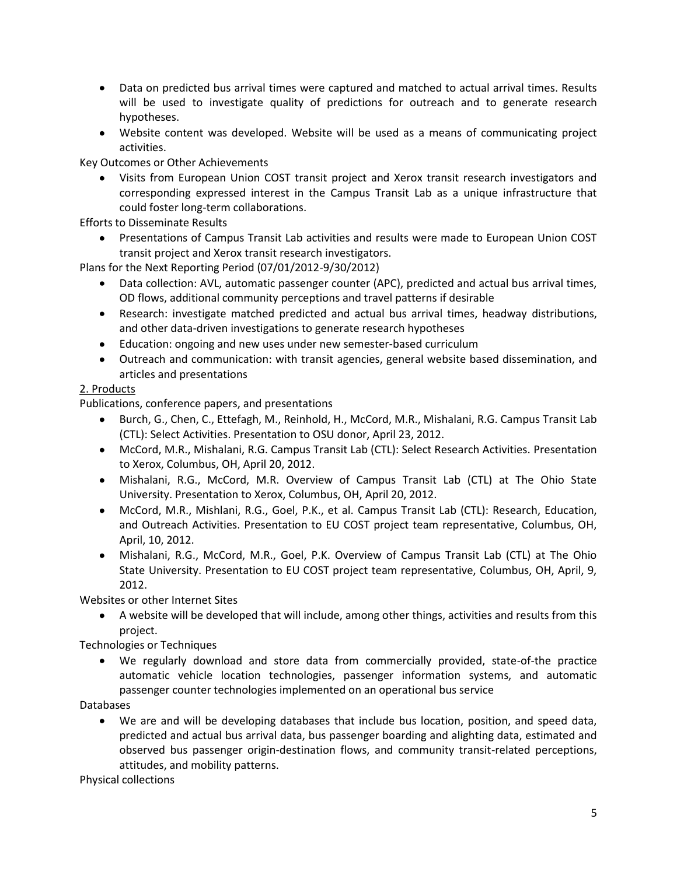- Data on predicted bus arrival times were captured and matched to actual arrival times. Results will be used to investigate quality of predictions for outreach and to generate research hypotheses.
- Website content was developed. Website will be used as a means of communicating project activities.

Key Outcomes or Other Achievements

Visits from European Union COST transit project and Xerox transit research investigators and corresponding expressed interest in the Campus Transit Lab as a unique infrastructure that could foster long-term collaborations.

Efforts to Disseminate Results

Presentations of Campus Transit Lab activities and results were made to European Union COST transit project and Xerox transit research investigators.

Plans for the Next Reporting Period (07/01/2012-9/30/2012)

- Data collection: AVL, automatic passenger counter (APC), predicted and actual bus arrival times, OD flows, additional community perceptions and travel patterns if desirable
- Research: investigate matched predicted and actual bus arrival times, headway distributions, and other data-driven investigations to generate research hypotheses
- Education: ongoing and new uses under new semester-based curriculum
- Outreach and communication: with transit agencies, general website based dissemination, and articles and presentations

### 2. Products

Publications, conference papers, and presentations

- Burch, G., Chen, C., Ettefagh, M., Reinhold, H., McCord, M.R., Mishalani, R.G. Campus Transit Lab (CTL): Select Activities. Presentation to OSU donor, April 23, 2012.
- McCord, M.R., Mishalani, R.G. Campus Transit Lab (CTL): Select Research Activities. Presentation to Xerox, Columbus, OH, April 20, 2012.
- Mishalani, R.G., McCord, M.R. Overview of Campus Transit Lab (CTL) at The Ohio State University. Presentation to Xerox, Columbus, OH, April 20, 2012.
- McCord, M.R., Mishlani, R.G., Goel, P.K., et al. Campus Transit Lab (CTL): Research, Education, and Outreach Activities. Presentation to EU COST project team representative, Columbus, OH, April, 10, 2012.
- Mishalani, R.G., McCord, M.R., Goel, P.K. Overview of Campus Transit Lab (CTL) at The Ohio State University. Presentation to EU COST project team representative, Columbus, OH, April, 9, 2012.

Websites or other Internet Sites

A website will be developed that will include, among other things, activities and results from this project.

Technologies or Techniques

We regularly download and store data from commercially provided, state-of-the practice automatic vehicle location technologies, passenger information systems, and automatic passenger counter technologies implemented on an operational bus service

Databases

 $\bullet$ We are and will be developing databases that include bus location, position, and speed data, predicted and actual bus arrival data, bus passenger boarding and alighting data, estimated and observed bus passenger origin-destination flows, and community transit-related perceptions, attitudes, and mobility patterns.

Physical collections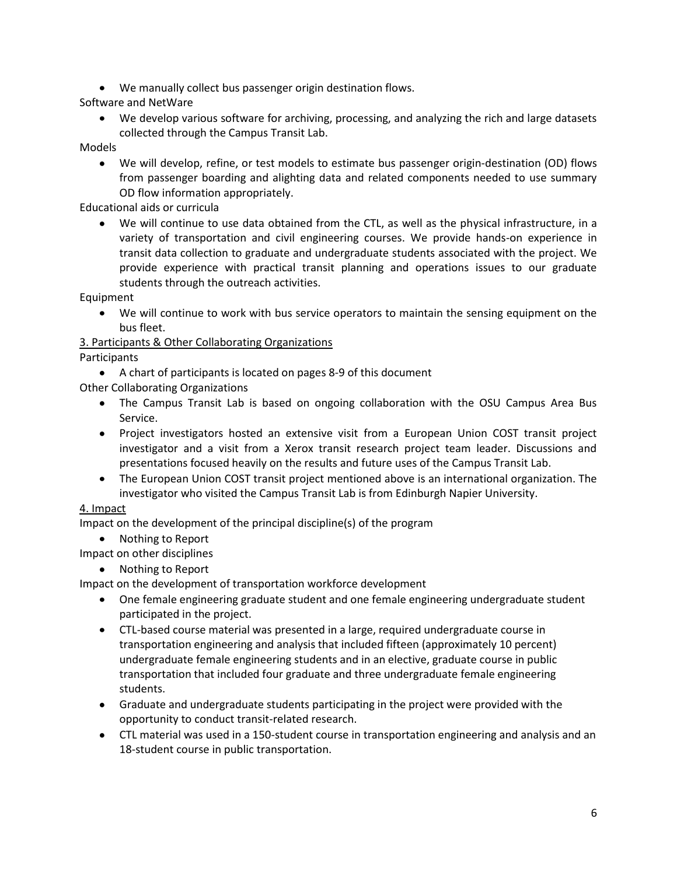We manually collect bus passenger origin destination flows.

Software and NetWare

We develop various software for archiving, processing, and analyzing the rich and large datasets collected through the Campus Transit Lab.

#### Models

We will develop, refine, or test models to estimate bus passenger origin-destination (OD) flows from passenger boarding and alighting data and related components needed to use summary OD flow information appropriately.

Educational aids or curricula

We will continue to use data obtained from the CTL, as well as the physical infrastructure, in a variety of transportation and civil engineering courses. We provide hands-on experience in transit data collection to graduate and undergraduate students associated with the project. We provide experience with practical transit planning and operations issues to our graduate students through the outreach activities.

Equipment

We will continue to work with bus service operators to maintain the sensing equipment on the bus fleet.

## 3. Participants & Other Collaborating Organizations

**Participants** 

A chart of participants is located on pages 8-9 of this document

Other Collaborating Organizations

- The Campus Transit Lab is based on ongoing collaboration with the OSU Campus Area Bus Service.
- Project investigators hosted an extensive visit from a European Union COST transit project investigator and a visit from a Xerox transit research project team leader. Discussions and presentations focused heavily on the results and future uses of the Campus Transit Lab.
- The European Union COST transit project mentioned above is an international organization. The investigator who visited the Campus Transit Lab is from Edinburgh Napier University.

## 4. Impact

Impact on the development of the principal discipline(s) of the program

• Nothing to Report

Impact on other disciplines

• Nothing to Report

Impact on the development of transportation workforce development

- One female engineering graduate student and one female engineering undergraduate student participated in the project.
- CTL-based course material was presented in a large, required undergraduate course in transportation engineering and analysis that included fifteen (approximately 10 percent) undergraduate female engineering students and in an elective, graduate course in public transportation that included four graduate and three undergraduate female engineering students.
- Graduate and undergraduate students participating in the project were provided with the opportunity to conduct transit-related research.
- CTL material was used in a 150-student course in transportation engineering and analysis and an 18-student course in public transportation.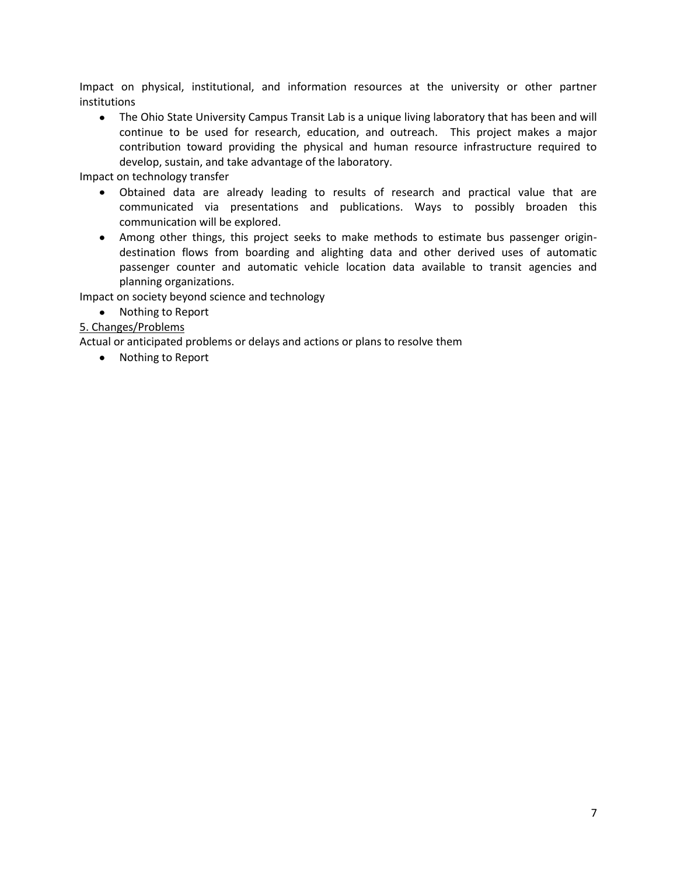Impact on physical, institutional, and information resources at the university or other partner institutions

The Ohio State University Campus Transit Lab is a unique living laboratory that has been and will continue to be used for research, education, and outreach. This project makes a major contribution toward providing the physical and human resource infrastructure required to develop, sustain, and take advantage of the laboratory.

Impact on technology transfer

- Obtained data are already leading to results of research and practical value that are communicated via presentations and publications. Ways to possibly broaden this communication will be explored.
- Among other things, this project seeks to make methods to estimate bus passenger origindestination flows from boarding and alighting data and other derived uses of automatic passenger counter and automatic vehicle location data available to transit agencies and planning organizations.

Impact on society beyond science and technology

• Nothing to Report

#### 5. Changes/Problems

Actual or anticipated problems or delays and actions or plans to resolve them

• Nothing to Report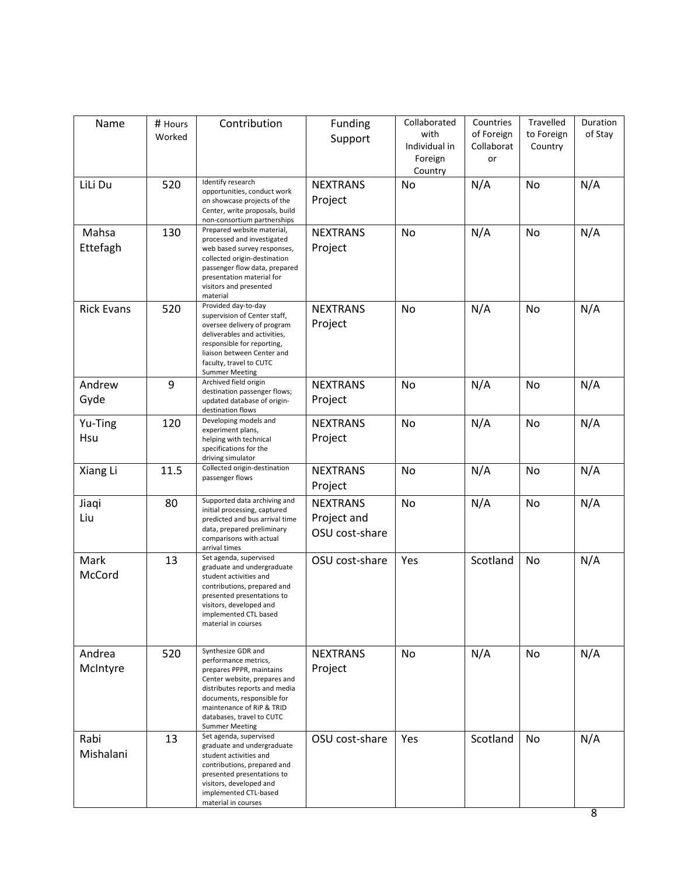| Name              | # Hours | Contribution                                                   | Funding         | Collaborated             | Countries        | Travelled  | Duration |
|-------------------|---------|----------------------------------------------------------------|-----------------|--------------------------|------------------|------------|----------|
|                   | Worked  |                                                                | Support         | with                     | of Foreign       | to Foreign | of Stay  |
|                   |         |                                                                |                 | Individual in<br>Foreign | Collaborat<br>or | Country    |          |
|                   |         |                                                                |                 | Country                  |                  |            |          |
| LiLi Du           | 520     | Identify research<br>opportunities, conduct work               | <b>NEXTRANS</b> | No                       | N/A              | No         | N/A      |
|                   |         | on showcase projects of the                                    | Project         |                          |                  |            |          |
|                   |         | Center, write proposals, build<br>non-consortium partnerships  |                 |                          |                  |            |          |
| Mahsa             | 130     | Prepared website material,                                     | <b>NEXTRANS</b> | No                       | N/A              | No         | N/A      |
| Ettefagh          |         | processed and investigated<br>web based survey responses,      | Project         |                          |                  |            |          |
|                   |         | collected origin-destination<br>passenger flow data, prepared  |                 |                          |                  |            |          |
|                   |         | presentation material for                                      |                 |                          |                  |            |          |
|                   |         | visitors and presented<br>material                             |                 |                          |                  |            |          |
| <b>Rick Evans</b> | 520     | Provided day-to-day<br>supervision of Center staff,            | <b>NEXTRANS</b> | No                       | N/A              | No         | N/A      |
|                   |         | oversee delivery of program                                    | Project         |                          |                  |            |          |
|                   |         | deliverables and activities,<br>responsible for reporting,     |                 |                          |                  |            |          |
|                   |         | liaison between Center and<br>faculty, travel to CUTC          |                 |                          |                  |            |          |
|                   |         | <b>Summer Meeting</b>                                          |                 |                          |                  |            |          |
| Andrew            | 9       | Archived field origin<br>destination passenger flows;          | <b>NEXTRANS</b> | No                       | N/A              | No         | N/A      |
| Gyde              |         | updated database of origin-<br>destination flows               | Project         |                          |                  |            |          |
| Yu-Ting           | 120     | Developing models and                                          | <b>NEXTRANS</b> | <b>No</b>                | N/A              | No         | N/A      |
| Hsu               |         | experiment plans,<br>helping with technical                    | Project         |                          |                  |            |          |
|                   |         | specifications for the<br>driving simulator                    |                 |                          |                  |            |          |
| Xiang Li          | 11.5    | Collected origin-destination                                   | <b>NEXTRANS</b> | No                       | N/A              | No         | N/A      |
|                   |         | passenger flows                                                | Project         |                          |                  |            |          |
| Jiaqi             | 80      | Supported data archiving and                                   | <b>NEXTRANS</b> | <b>No</b>                | N/A              | No         | N/A      |
| Liu               |         | initial processing, captured<br>predicted and bus arrival time | Project and     |                          |                  |            |          |
|                   |         | data, prepared preliminary<br>comparisons with actual          | OSU cost-share  |                          |                  |            |          |
|                   |         | arrival times                                                  |                 |                          |                  |            |          |
| Mark              | 13      | Set agenda, supervised<br>graduate and undergraduate           | OSU cost-share  | Yes                      | Scotland         | No         | N/A      |
| McCord            |         | student activities and<br>contributions, prepared and          |                 |                          |                  |            |          |
|                   |         | presented presentations to                                     |                 |                          |                  |            |          |
|                   |         | visitors, developed and<br>implemented CTL based               |                 |                          |                  |            |          |
|                   |         | material in courses                                            |                 |                          |                  |            |          |
|                   |         | Synthesize GDR and                                             |                 |                          |                  |            |          |
| Andrea            | 520     | performance metrics,                                           | <b>NEXTRANS</b> | No                       | N/A              | No         | N/A      |
| McIntyre          |         | prepares PPPR, maintains<br>Center website, prepares and       | Project         |                          |                  |            |          |
|                   |         | distributes reports and media<br>documents, responsible for    |                 |                          |                  |            |          |
|                   |         | maintenance of RiP & TRID                                      |                 |                          |                  |            |          |
|                   |         | databases, travel to CUTC<br><b>Summer Meeting</b>             |                 |                          |                  |            |          |
| Rabi              | 13      | Set agenda, supervised                                         | OSU cost-share  | Yes                      | Scotland         | No         | N/A      |
| Mishalani         |         | graduate and undergraduate<br>student activities and           |                 |                          |                  |            |          |
|                   |         | contributions, prepared and<br>presented presentations to      |                 |                          |                  |            |          |
|                   |         | visitors, developed and                                        |                 |                          |                  |            |          |
|                   |         | implemented CTL-based<br>material in courses                   |                 |                          |                  |            |          |